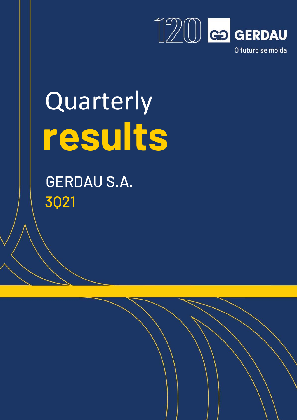

# Quarterly  **results**

 GERDAU S.A. 3Q21

 $\overline{ }$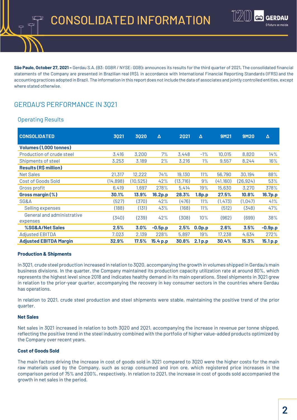

**São Paulo, October 27, 2021 –** Gerdau S.A. (B3: GGBR / NYSE: GGB)**:** announces its results for the third quarter of 2021**.** The consolidated financial statements of the Company are presented in Brazilian real (R\$), in accordance with International Financial Reporting Standards (IFRS) and the accounting practices adopted in Brazil. The information in this report does not include the data of associates and jointly controlled entities, except where stated otherwise.

# GERDAU'S PERFORMANCE IN 3Q21

# Operating Results

| <b>CONSOLIDATED</b>           | 3021     | 3020      | Δ         | 2021      | Δ                  | <b>9M21</b> | <b>9M20</b> | Δ         |
|-------------------------------|----------|-----------|-----------|-----------|--------------------|-------------|-------------|-----------|
| Volumes (1,000 tonnes)        |          |           |           |           |                    |             |             |           |
| Production of crude steel     | 3,416    | 3,200     | 7%        | 3,448     | $-1\%$             | 10,015      | 8,820       | 14%       |
| Shipments of steel            | 3,253    | 3,189     | 2%        | 3,216     | $1\%$              | 9,557       | 8,244       | 16%       |
| <b>Results (R\$ million)</b>  |          |           |           |           |                    |             |             |           |
| <b>Net Sales</b>              | 21,317   | 12,222    | 74%       | 19,130    | 11%                | 56,790      | 30,194      | 88%       |
| Cost of Goods Sold            | (14,898) | (10, 525) | 42%       | (13, 716) | 9%                 | (41,160)    | (26, 924)   | 53%       |
| Gross profit                  | 6,419    | 1,697     | 278%      | 5,414     | 19%                | 15,630      | 3,270       | 378%      |
| Gross margin (%)              | 30.1%    | 13.9%     | 16.2p.p   | 28.3%     | 1.8 <sub>p.p</sub> | 27.5%       | 10.8%       | 16.7p.p   |
| SG&A                          | (527)    | (370)     | 42%       | (476)     | 11%                | (1, 473)    | (1,047)     | 41%       |
| Selling expenses              | (188)    | (131)     | 43%       | (168)     | 11%                | (512)       | (348)       | 47%       |
| General and administrative    |          |           |           |           |                    |             |             |           |
| expenses                      | (340)    | (239)     | 42%       | (308)     | 10%                | (962)       | (699)       | 38%       |
| %SG&A/Net Sales               | 2.5%     | 3.0%      | $-0.5p.p$ | 2.5%      | 0.0 <sub>p.p</sub> | 2.6%        | 3.5%        | $-0.9p.p$ |
| <b>Adjusted EBITDA</b>        | 7,023    | 2,139     | 228%      | 5,897     | 19%                | 17,238      | 4,634       | 272%      |
| <b>Adjusted EBITDA Margin</b> | 32.9%    | $17.5\%$  | 15.4 p.p  | 30.8%     | 2.1 <sub>p.p</sub> | 30.4%       | 15.3%       | 15.1 p.p  |

### **Production & Shipments**

In 3Q21, crude steel production increased in relation to 3Q20, accompanying the growth in volumes shipped in Gerdau's main business divisions. In the quarter, the Company maintained its production capacity utilization rate at around 80%, which represents the highest level since 2018 and indicates healthy demand in its main operations. Steel shipments in 3Q21 grew in relation to the prior-year quarter, accompanying the recovery in key consumer sectors in the countries where Gerdau has operations.

In relation to 2Q21, crude steel production and steel shipments were stable, maintaining the positive trend of the prior quarter.

## **Net Sales**

Net sales in 3Q21 increased in relation to both 3Q20 and 2Q21, accompanying the increase in revenue per tonne shipped, reflecting the positive trend in the steel industry combined with the portfolio of higher value-added products optimized by the Company over recent years.

### **Cost of Goods Sold**

The main factors driving the increase in cost of goods sold in 3Q21 compared to 3Q20 were the higher costs for the main raw materials used by the Company, such as scrap consumed and iron ore, which registered price increases in the comparison period of 75% and 200%, respectively. In relation to 2Q21, the increase in cost of goods sold accompanied the growth in net sales in the period.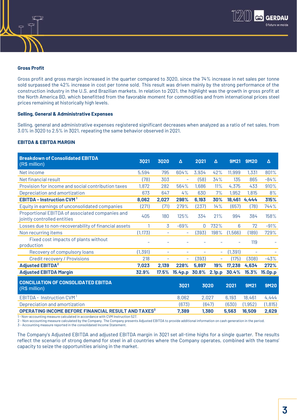

## **Gross Profit**

Gross profit and gross margin increased in the quarter compared to 3Q20, since the 74% increase in net sales per tonne sold surpassed the 42% increase in cost per tonne sold. This result was driven mainly by the strong performance of the construction industry in the U.S. and Brazilian markets. In relation to 2Q21, the highlight was the growth in gross profit at the North America BD, which benefitted from the favorable moment for commodities and from international prices steel prices remaining at historically high levels.

#### **Selling, General & Administrative Expenses**

Selling, general and administrative expenses registered significant decreases when analyzed as a ratio of net sales, from 3.0% in 3Q20 to 2.5% in 3Q21, repeating the same behavior observed in 2Q21.

#### **EBITDA & EBITDA MARGIN**

| <b>Breakdown of Consolidated EBITDA</b><br>(R\$ million)                       | 3021     | 3020                     | Δ                        | 2021                     | Δ                        | 9M21     | 9M20                         | Δ                   |
|--------------------------------------------------------------------------------|----------|--------------------------|--------------------------|--------------------------|--------------------------|----------|------------------------------|---------------------|
| Net income                                                                     | 5,594    | 795                      | 604%                     | 3,934                    | 42%                      | 11,999   | 1,331                        | 801%                |
| Net financial result                                                           | (78)     | 303                      | $\overline{\phantom{0}}$ | (58)                     | 34%                      | 135      | 865                          | $-84%$              |
| Provision for income and social contribution taxes                             | 1,872    | 282                      | 564%                     | 1,686                    | 11%                      | 4,375    | 433                          | 910%                |
| Depreciation and amortization                                                  | 673      | 647                      | 4%                       | 630                      | 7%                       | 1,952    | 1,815                        | 8%                  |
| <b>EBITDA - Instruction CVM</b>                                                | 8,062    | 2,027                    | 298%                     | 6,193                    | 30%                      | 18,461   | 4,444                        | 315%                |
| Equity in earnings of unconsolidated companies                                 | (271)    | (71)                     | 279%                     | (237)                    | 14%                      | (657)    | (78)                         | 744%                |
| Proportional EBITDA of associated companies and<br>jointly controlled entities | 405      | 180                      | 125%                     | 334                      | 21%                      | 994      | 384                          | 158%                |
| Losses due to non-recoverability of financial assets                           |          | 3                        | $-69%$                   | 0                        | 732%                     | 6        | 72                           | $-91%$              |
| Non recurring items                                                            | (1, 173) | $\overline{\phantom{a}}$ | $\overline{\phantom{a}}$ | (393)                    | 198%                     | (1,566)  | (189)                        | 729%                |
| Fixed cost impacts of plants without<br>production                             |          |                          |                          |                          |                          |          | 119                          |                     |
| Recovery of compulsory loans                                                   | (1, 391) | $\overline{\phantom{0}}$ | $\overline{\phantom{a}}$ | $\overline{\phantom{0}}$ | $-$                      | (1, 391) | $\qquad \qquad \blacksquare$ |                     |
| <b>Credit recovery / Provisions</b>                                            | 218      | $\overline{\phantom{0}}$ | $\overline{\phantom{a}}$ | (393)                    | $\overline{\phantom{a}}$ | (175)    | (308)                        | $-43%$              |
| <b>Adjusted EBITDA<sup>2</sup></b>                                             | 7,023    | 2,139                    | 228%                     | 5,897                    | 19%                      | 17,238   | 4,634                        | 272%                |
| <b>Adjusted EBITDA Margin</b>                                                  | 32.9%    | 17.5%                    | 15.4p.p                  | 30.8%                    | 2.1 <sub>p.p</sub>       | 30.4%    | 15.3%                        | 15.0 <sub>p.p</sub> |
| <b>CONCILIATION OF CONSOLIDATED EBITDA</b><br>(R\$ million)                    |          |                          | 3021                     |                          | 3020                     | 2021     | <b>9M21</b>                  | <b>9M20</b>         |
| <b>EBITDA - Instruction CVM</b>                                                |          |                          | 8,062                    | 2,027                    |                          | 6,193    | 18,461                       | 4,444               |
| Depreciation and amortization                                                  |          |                          | (673)                    |                          | (647)                    | (630)    | (1, 952)                     | (1, 815)            |
| OPERATING INCOME BEFORE FINANCIAL RESULT AND TAXES <sup>3</sup>                |          |                          | 7,389                    |                          | 1,380                    | 5,563    | 16,509                       | 2,629               |

1 - Non-accounting measure calculated in accordance with CVM Instruction 527.

2 - Non-accounting measure calculated by the Company. The Company presents Adjusted EBITDA to provide additional information on cash generation in the period.

3 - Accounting measure reported in the consolidated Income Statement.

The Company's Adjusted EBITDA and adjusted EBITDA margin in 3Q21 set all-time highs for a single quarter. The results reflect the scenario of strong demand for steel in all countries where the Company operates, combined with the teams' capacity to seize the opportunities arising in the market.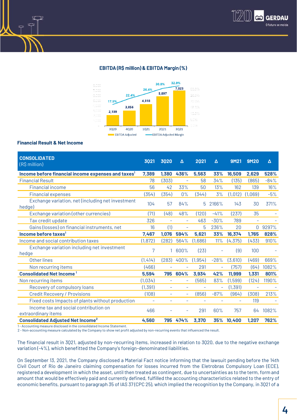

### EBITDA (R\$ million) & EBITDA Margin (%)



#### **Financial Result & Net Income**

| <b>CONSOLIDATED</b><br>(R\$ million)                                  | 3021                     | 3020                     | Δ                        | 2021                     | Δ                        | <b>9M21</b> | <b>9M20</b>              | Δ      |
|-----------------------------------------------------------------------|--------------------------|--------------------------|--------------------------|--------------------------|--------------------------|-------------|--------------------------|--------|
| Income before financial income expenses and taxes <sup>1</sup>        | 7,389                    | 1,380                    | 436%                     | 5,563                    | 33%                      | 16,509      | 2,629                    | 528%   |
| <b>Financial Result</b>                                               | 78                       | (303)                    | $\qquad \qquad -$        | 58                       | 34%                      | (135)       | (865)                    | $-84%$ |
| <b>Financial income</b>                                               | 56                       | 42                       | 33%                      | 50                       | 13%                      | 162         | 139                      | 16%    |
| <b>Financial expenses</b>                                             | (354)                    | (354)                    | $0\%$                    | (344)                    | 3%                       | (1, 012)    | (1,069)                  | $-5%$  |
| Exchange variation, net (including net investment<br>hedge)           | 104                      | 57                       | 84%                      | 5                        | 2166%                    | 143         | 30                       | 371%   |
| Exchange variation (other currencies)                                 | (71)                     | (48)                     | 48%                      | (120)                    | $-41%$                   | (237)       | 35                       |        |
| Tax credit update                                                     | 326                      |                          | $\qquad \qquad -$        | 463                      | $-30%$                   | 789         | $\overline{\phantom{a}}$ |        |
| Gains (losses) on financial instruments, net                          | 16                       | (1)                      | ÷,                       | 5                        | 236%                     | 20          | $\Omega$                 | 9297%  |
| Income before taxes <sup>1</sup>                                      | 7,467                    | 1,076                    | 594%                     | 5,621                    | 33%                      | 16,374      | 1,765                    | 828%   |
| Income and social contribution taxes                                  | (1, 872)                 | (282)                    | 564%                     | (1,686)                  | 11%                      | (4, 375)    | (433)                    | 910%   |
| Exchange variation including net investment<br>hedge                  | 7                        |                          | 600%                     | (23)                     |                          | (9)         | 100                      |        |
| Other lines                                                           | (1, 414)                 | (283)                    | 400%                     | (1, 954)                 | $-28%$                   | (3,610)     | (469)                    | 669%   |
| Non recurring items                                                   | (466)                    |                          |                          | 291                      |                          | (757)       | (64)                     | 1082%  |
| <b>Consolidated Net Income</b>                                        | 5,594                    | 795                      | 604%                     | 3,934                    | 42%                      | 11,999      | 1,331                    | 801%   |
| Non recurring items                                                   | (1,034)                  |                          |                          | (565)                    | 83%                      | (1,599)     | (124)                    | 1190%  |
| Recovery of compulsory loans                                          | (1, 391)                 | $\overline{\phantom{a}}$ | $\overline{\phantom{a}}$ | $\overline{\phantom{0}}$ | $\overline{\phantom{0}}$ | (1, 391)    | $\overline{\phantom{a}}$ |        |
| <b>Credit Recovery / Provisions</b>                                   | (108)                    | $\overline{\phantom{a}}$ | $\overline{\phantom{a}}$ | (856)                    | $-87%$                   | (964)       | (308)                    | 213%   |
| Fixed costs Impacts of plants without production                      | $\overline{\phantom{a}}$ | $\qquad \qquad -$        | ۰                        | ۳                        | $\qquad \qquad -$        |             | 119                      |        |
| Income tax and social contribution on<br>extraordinary items          | 466                      |                          | ÷                        | 291                      | 60%                      | 757         | 64                       | 1082%  |
| <b>Consolidated Adjusted Net Income<sup>2</sup></b>                   | 4,560                    | 795                      | 474%                     | 3,370                    | 35%                      | 10,400      | 1,207                    | 762%   |
| 1- Accounting measure disclosed in the consolidated Income Statement. |                          |                          |                          |                          |                          |             |                          |        |

2 - Non-accounting measure calculated by the Company to show net profit adjusted by non-recurring events that influenced the result.

The financial result in 3Q21, adjusted by non-recurring items, increased in relation to 3Q20, due to the negative exchange variation (-4%), which benefitted the Company's foreign-denominated liabilities.

On September 13, 2021, the Company disclosed a Material Fact notice informing that the lawsuit pending before the 14th Civil Court of Rio de Janeiro claiming compensation for losses incurred from the Eletrobras Compulsory Loan (ECE), registered a development in which the asset, until then treated as contingent, due to uncertainties as to the term, form and amount that would be effectively paid and currently defined, fulfilled the accounting characteristics related to the entry of economic benefits, pursuant to paragraph 35 of IAS 37 (CPC 25), which implied the recognition by the Company, in 3Q21 of a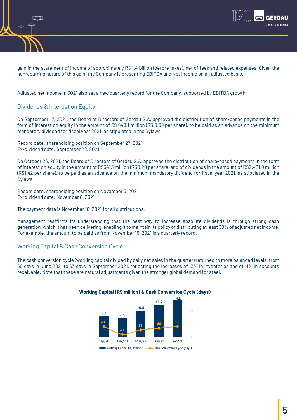

gain in the statement of income of approximately R\$ 1.4 billion (before taxes), net of fees and related expenses. Given the nonrecurring nature of this gain, the Company is presenting EBITDA and Net Income on an adjusted basis.

Adjusted net income in 3Q21 also set a new quarterly record for the Company, supported by EBITDA growth.

# Dividends & Interest on Equity

On September 17, 2021, the Board of Directors of Gerdau S.A. approved the distribution of share-based payments in the form of interest on equity in the amount of R\$ 648.1 million (R\$ 0.38 per share), to be paid as an advance on the minimum mandatory dividend for fiscal year 2021, as stipulated in the Bylaws.

Record date: shareholding position on September 27, 2021 Ex-dividend date: September 28, 2021

On October 26, 2021, the Board of Directors of Gerdau S.A. approved the distribution of share-based payments in the form of interest on equity in the amount of R\$341.1 million (R\$0.20 per share) and of dividends in the amount of R\$2.421,9 million (R\$1.42 per share), to be paid as an advance on the minimum mandatory dividend for fiscal year 2021, as stipulated in the Bylaws.

Record date: shareholding position on November 5, 2021 Ex-dividend date: November 8, 2021

The payment date is November 16, 2021 for all distributions.

Management reaffirms its understanding that the best way to increase absolute dividends is through strong cash generation, which it has been delivering, enabling it to maintain its policy of distributing at least 30% of adjusted netincome. For example, the amount to be paid as from November 16, 2021 is a quarterly record.

# Working Capital & Cash Conversion Cycle

The cash conversion cycle (working capital divided by daily net sales in the quarter) returned to more balanced levels, from 60 days in June 2021 to 63 days in September 2021, reflecting the increases of 13% in inventories and of 11% in accounts receivable. Note that these are natural adjustments given the stronger global demand for steel.



#### **Working Capital (R\$ million) & Cash Conversion Cycle (days)**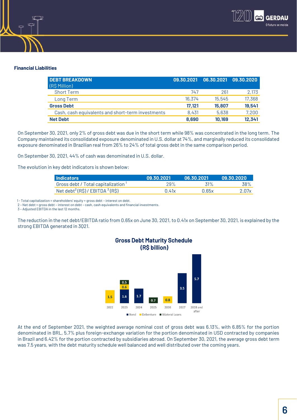

## **Financial Liabilities**

| <b>DEBT BREAKDOWN</b><br>(R\$ Million)            | 09.30.2021 |        | 06.30.2021 09.30.2020 |
|---------------------------------------------------|------------|--------|-----------------------|
| <b>Short Term</b>                                 | 747        | 261    | 2,173                 |
| Long Term                                         | 16,374     | 15,545 | 17,368                |
| <b>Gross Debt</b>                                 | 17.121     | 15,807 | 19,541                |
| Cash, cash equivalents and short-term investments | 8,431      | 5,638  | 7,200                 |
| <b>Net Debt</b>                                   | 8,690      | 10,169 | 12,341                |

On September 30, 2021, only 2% of gross debt was due in the short term while 98% was concentrated in the long term. The Company maintained its consolidated exposure denominated in U.S. dollar at 74%, and marginally reduced its consolidated exposure denominated in Brazilian real from 26% to 24% of total gross debt in the same comparison period.

On September 30, 2021, 44% of cash was denominated in U.S. dollar.

The evolution in key debt indicators is shown below:

| <b>I</b> Indicators                            | 09.30.2021 | 06.30.2021 | 09.30.2020 |
|------------------------------------------------|------------|------------|------------|
| Gross debt / Total capitalization <sup>1</sup> | 29%        | 31%        | 38%        |
| Net debt <sup>2</sup> (R\$) / EBITDA $3$ (R\$) | 0.41x      | 0.65x      | 2.07x      |

1 - Total capitalization = shareholders' equity + gross debt – interest on debt.

2 – Net debt = gross debt – interest on debt – cash, cash equivalents and financial investments.

3 – Adjusted EBITDA in the last 12 months.

The reduction in the net debt/EBITDA ratio from 0.65x on June 30, 2021, to 0.41x on September 30, 2021, is explained by the strong EBITDA generated in 3Q21.



At the end of September 2021, the weighted average nominal cost of gross debt was 6.13%, with 6.85% for the portion denominated in BRL, 5.7% plus foreign-exchange variation for the portion denominated in USD contracted by companies in Brazil and 6.42% for the portion contracted by subsidiaries abroad. On September 30, 2021, the average gross debt term was 7.5 years, with the debt maturity schedule well balanced and well distributed over the coming years.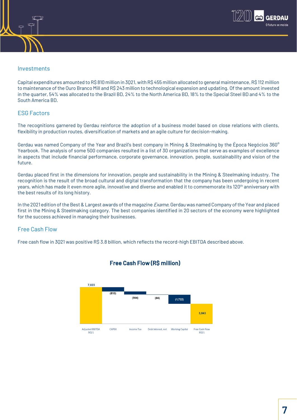

## Investments

Capital expenditures amounted to R\$ 810 million in 3Q21, with R\$ 455 million allocated to general maintenance, R\$ 112 million to maintenance of the Ouro Branco Mill and R\$ 243 million to technological expansion and updating. Of the amount invested in the quarter, 54% was allocated to the Brazil BD, 24% to the North America BD, 18% to the Special Steel BD and 4% to the South America BD.

### ESG Factors

The recognitions garnered by Gerdau reinforce the adoption of a business model based on close relations with clients, flexibility in production routes, diversification of markets and an agile culture for decision-making.

Gerdau was named Company of the Year and Brazil's best company in Mining & Steelmaking by the Época Negócios 360° Yearbook. The analysis of some 500 companies resulted in a list of 30 organizations that serve as examples of excellence in aspects that include financial performance, corporate governance, innovation, people, sustainability and vision of the future.

Gerdau placed first in the dimensions for innovation, people and sustainability in the Mining & Steelmaking industry. The recognition is the result of the broad cultural and digital transformation that the company has been undergoing in recent years, which has made it even more agile, innovative and diverse and enabled it to commemorate its 120<sup>th</sup> anniversary with the best results of its long history.

In the 2021 edition of the Best & Largest awards of the magazine *Exame*, Gerdau was named Company of the Year and placed first in the Mining & Steelmaking category. The best companies identified in 20 sectors of the economy were highlighted for the success achieved in managing their businesses.

# Free Cash Flow

Free cash flow in 3Q21 was positive R\$ 3.8 billion, which reflects the record-high EBITDA described above.



# Free Cash Flow (R\$ million)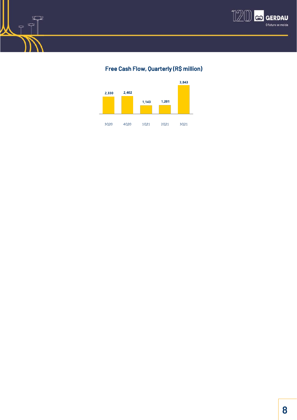

# Free Cash Flow, Quarterly (R\$ million)



 $\mathbb{Z}$ W

 $\mathcal{P}$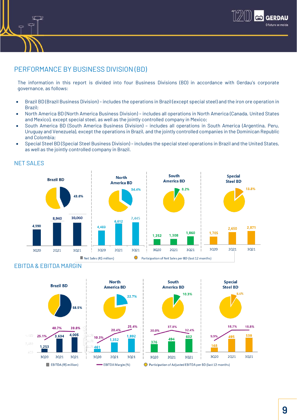

# PERFORMANCE BY BUSINESS DIVISION (BD)

The information in this report is divided into four Business Divisions (BD) in accordance with Gerdau's corporate governance, as follows:

- Brazil BD (Brazil Business Division) includes the operations in Brazil (except special steel) and the iron ore operation in Brazil;
- North America BD (North America Business Division) includes all operations in North America (Canada, United States and Mexico), except special steel, as well as the jointly controlled company in Mexico;
- South America BD (South America Business Division) includes all operations in South America (Argentina, Peru, Uruguay and Venezuela), except the operations in Brazil, and the jointly controlled companies in the Dominican Republic and Colombia;
- Special Steel BD (Special Steel Business Division) includes the special steel operations in Brazil and the United States, as well as the jointly controlled company in Brazil.



# NET SALES

# EBITDA & EBITDA MARGIN

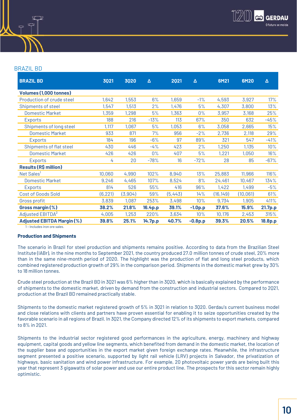

### BRAZIL BD

| <b>BRAZIL BD</b>                  | 3021     | 3020    | Δ       | 2021    | Δ         | 6M21      | 6M20      | Δ       |
|-----------------------------------|----------|---------|---------|---------|-----------|-----------|-----------|---------|
| <b>Volumes (1,000 tonnes)</b>     |          |         |         |         |           |           |           |         |
| Production of crude steel         | 1,642    | 1,553   | 6%      | 1,659   | $-1%$     | 4,593     | 3,927     | 17%     |
| Shipments of steel                | 1,547    | 1,513   | 2%      | 1,476   | 5%        | 4,307     | 3,800     | 13%     |
| <b>Domestic Market</b>            | 1,359    | 1,298   | 5%      | 1,363   | $0\%$     | 3,957     | 3,168     | 25%     |
| <b>Exports</b>                    | 188      | 216     | $-13%$  | 113     | 67%       | 350       | 632       | $-45%$  |
| Shipments of long steel           | 1,117    | 1,067   | 5%      | 1,053   | 6%        | 3,058     | 2,665     | 15%     |
| <b>Domestic Market</b>            | 933      | 871     | 7%      | 956     | $-2%$     | 2,736     | 2,118     | 29%     |
| Exports                           | 184      | 196     | $-6%$   | 97      | 89%       | 321       | 547       | $-41%$  |
| Shipments of flat steel           | 430      | 446     | $-4%$   | 423     | 2%        | 1,250     | 1,135     | 10%     |
| <b>Domestic Market</b>            | 426      | 426     | $0\%$   | 407     | 5%        | 1,221     | 1,050     | 16%     |
| Exports                           | 4        | 20      | $-78%$  | 16      | $-72%$    | 28        | 85        | $-67%$  |
| <b>Results (R\$ million)</b>      |          |         |         |         |           |           |           |         |
| Net Sales'                        | 10,060   | 4,990   | 102%    | 8,940   | 13%       | 25,883    | 11,966    | 116%    |
| <b>Domestic Market</b>            | 9,246    | 4,465   | 107%    | 8,524   | 8%        | 24,461    | 10,467    | 134%    |
| Exports                           | 814      | 526     | 55%     | 416     | 96%       | 1,422     | 1,499     | $-5%$   |
| Cost of Goods Sold                | (6, 221) | (3,904) | 59%     | (5,443) | 14%       | (16, 149) | (10, 061) | 61%     |
| Gross profit                      | 3,839    | 1,087   | 253%    | 3,498   | 10%       | 9,734     | 1,905     | 411%    |
| Gross margin (%)                  | 38.2%    | 21.8%   | 16.4p.p | 39.1%   | $-1.0p.p$ | 37.6%     | 15.9%     | 21.7p.p |
| Adjusted EBITDA <sup>2</sup>      | 4,005    | 1,253   | 220%    | 3,634   | 10%       | 10,176    | 2,453     | 315%    |
| <b>Adjusted EBITDA Margin (%)</b> | 39.8%    | 25.1%   | 14.7p.p | 40.7%   | $-0.8p.p$ | 39.3%     | 20.5%     | 18.8p.p |

1 – Includes iron ore sales.

#### **Production and Shipments**

The scenario in Brazil for steel production and shipments remains positive. According to data from the Brazilian Steel Institute (IABr), in the nine months to September 2021, the country produced 27.0 million tonnes of crude steel, 20% more than in the same nine-month period of 2020. The highlight was the production of flat and long steel products, which combined registered production growth of 29% in the comparison period. Shipments in the domestic market grew by 30% to 18 million tonnes.

Crude steel production at the Brazil BD in 3Q21 was 6% higher than in 3Q20, which is basically explained by the performance of shipments to the domestic market, driven by demand from the construction and industrial sectors. Compared to 2Q21, production at the Brazil BD remained practically stable.

Shipments to the domestic market registered growth of 5% in 3Q21 in relation to 3Q20. Gerdau's current business model and close relations with clients and partners have proven essential for enabling it to seize opportunities created by the favorable scenario in all regions of Brazil. In 3Q21, the Company directed 12% of its shipments to export markets, compared to 8% in 2Q21.

Shipments to the industrial sector registered good performances in the agriculture, energy, machinery and highway equipment, capital goods and yellow line segments, which benefited from demand in the domestic market, the location of the supplier base and opportunities in the export market given foreign exchange rates. Meanwhile, the infrastructure segment presented a positive scenario, supported by light rail vehicle (LRV) projects in Salvador, the privatization of highways, basic sanitation and wind power infrastructure. For example, 20 photovoltaic power yards are being built this year that represent 3 gigawatts of solar power and use our entire product line. The prospects for this sector remain highly optimistic.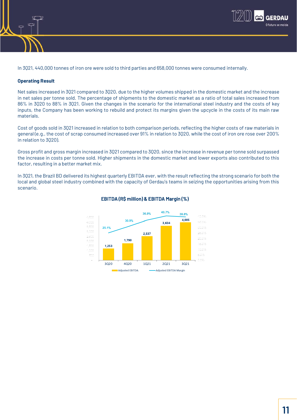

In 3Q21, 440,000 tonnes of iron ore were sold to third parties and 658,000 tonnes were consumed internally.

#### **Operating Result**

Net sales increased in 3Q21 compared to 3Q20, due to the higher volumes shipped in the domestic market and the increase in net sales per tonne sold. The percentage of shipments to the domestic market as a ratio of total sales increased from 86% in 3Q20 to 88% in 3Q21. Given the changes in the scenario for the international steel industry and the costs of key inputs, the Company has been working to rebuild and protect its margins given the upcycle in the costs of its main raw materials.

Cost of goods sold in 3Q21 increased in relation to both comparison periods, reflecting the higher costs of raw materials in general (e.g., the cost of scrap consumed increased over 91% in relation to 3Q20, while the cost of iron ore rose over 200% in relation to 3Q20).

Gross profit and gross margin increased in 3Q21 compared to 3Q20, since the increase in revenue per tonne sold surpassed the increase in costs per tonne sold. Higher shipments in the domestic market and lower exports also contributed to this factor, resulting in a better market mix.

In 3Q21, the Brazil BD delivered its highest quarterly EBITDA ever, with the result reflecting the strong scenario for both the local and global steel industry combined with the capacity of Gerdau's teams in seizing the opportunities arising from this scenario.



#### EBITDA (R\$ million) & EBITDA Margin (%)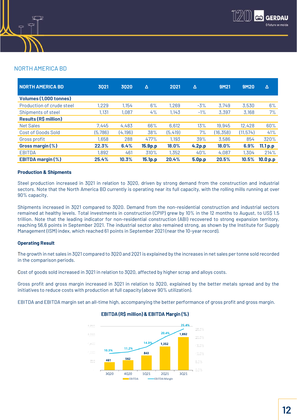

# NORTH AMERICA BD

| <b>NORTH AMERICA BD</b>      | 3021    | 3020     | Δ       | 2021     | Δ                  | 9M21      | <b>9M20</b> | Δ        |
|------------------------------|---------|----------|---------|----------|--------------------|-----------|-------------|----------|
| Volumes (1,000 tonnes)       |         |          |         |          |                    |           |             |          |
| Production of crude steel    | 1,229   | 1,154    | 6%      | 1,269    | $-3%$              | 3,749     | 3,530       | 6%       |
| Shipments of steel           | 1,131   | 1,087    | 4%      | 1,143    | $-1%$              | 3,397     | 3,168       | 7%       |
| <b>Results (R\$ million)</b> |         |          |         |          |                    |           |             |          |
| <b>Net Sales</b>             | 7.445   | 4,483    | 66%     | 6,612    | 13%                | 19,945    | 12,428      | 60%      |
| Cost of Goods Sold           | (5,786) | (4, 196) | 38%     | (5, 419) | 7%                 | (16, 358) | (11, 574)   | 41%      |
| Gross profit                 | 1,658   | 288      | 477%    | 1,193    | 39%                | 3,586     | 854         | 320%     |
| Gross margin (%)             | 22.3%   | 6.4%     | 15.9p.p | 18.0%    | 4.2 <sub>p.p</sub> | 18.0%     | 6.9%        | 11.1 p.p |
| <b>EBITDA</b>                | 1,892   | 461      | 310%    | 1,352    | 40%                | 4,087     | 1,304       | 214%     |
| <b>EBITDA margin (%)</b>     | 25.4%   | 10.3%    | 15.1p.p | 20.4%    | 5.0p.p             | 20.5%     | 10.5%       | 10.0 p.p |

#### **Production & Shipments**

Steel production increased in 3Q21 in relation to 3Q20, driven by strong demand from the construction and industrial sectors. Note that the North America BD currently is operating near its full capacity, with the rolling mills running at over 90% capacity.

Shipments increased in 3Q21 compared to 3Q20. Demand from the non-residential construction and industrial sectors remained at healthy levels. Total investments in construction (CPIP) grew by 10% in the 12 months to August, to US\$ 1.5 trillion. Note that the leading indicator for non-residential construction (ABI) recovered to strong expansion territory, reaching 56,6 points in September 2021. The industrial sector also remained strong, as shown by the Institute for Supply Management (ISM) index, which reached 61 points in September 2021 (near the 10-year record).

#### **Operating Result**

The growth in net sales in 3Q21 compared to 3Q20 and 2Q21 is explained by the increases in net sales per tonne sold recorded in the comparison periods.

Cost of goods sold increased in 3Q21 in relation to 3Q20, affected by higher scrap and alloys costs.

Gross profit and gross margin increased in 3Q21 in relation to 3Q20, explained by the better metals spread and by the initiatives to reduce costs with production at full capacity (above 90% utilization).

EBITDA and EBITDA margin set an all-time high, accompanying the better performance of gross profit and gross margin.



## EBITDA (R\$ million) & EBITDA Margin (%)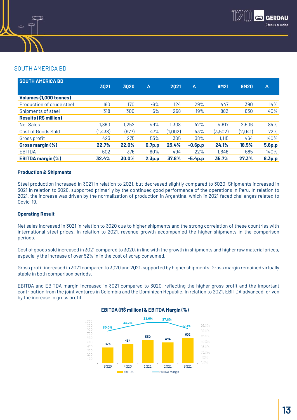

# SOUTH AMERICA BD

| <b>SOUTH AMERICA BD</b>      |         |       |                    |         |           |             |             |                    |
|------------------------------|---------|-------|--------------------|---------|-----------|-------------|-------------|--------------------|
|                              | 3021    | 3020  | Δ                  | 2021    | Δ         | <b>9M21</b> | <b>9M20</b> | Δ                  |
| Volumes (1,000 tonnes)       |         |       |                    |         |           |             |             |                    |
| Production of crude steel    | 160     | 170   | $-6%$              | 124     | 29%       | 447         | 390         | 14%                |
| Shipments of steel           | 318     | 300   | 6%                 | 268     | 19%       | 882         | 630         | 40%                |
| <b>Results (R\$ million)</b> |         |       |                    |         |           |             |             |                    |
| <b>Net Sales</b>             | 1,860   | 1,252 | 49%                | 1,308   | 42%       | 4,617       | 2,506       | 84%                |
| Cost of Goods Sold           | (1,438) | (977) | 47%                | (1,002) | 43%       | (3,502)     | (2,041)     | 72%                |
| Gross profit                 | 423     | 275   | 53%                | 305     | 38%       | 1,115       | 464         | 140%               |
| Gross margin (%)             | 22.7%   | 22.0% | 0.7 <sub>p.p</sub> | 23.4%   | $-0.6p.p$ | 24.1%       | 18.5%       | <b>5.6p.p</b>      |
| <b>EBITDA</b>                | 602     | 376   | 60%                | 494     | 22%       | 1,646       | 685         | 140%               |
| <b>EBITDA margin (%)</b>     | 32.4%   | 30.0% | 2.3 <sub>p.p</sub> | 37.8%   | $-5.4p.p$ | 35.7%       | 27.3%       | 8.3 <sub>p.p</sub> |

#### **Production & Shipments**

Steel production increased in 3Q21 in relation to 2Q21, but decreased slightly compared to 3Q20. Shipments increased in 3Q21 in relation to 3Q20, supported primarily by the continued good performance of the operations in Peru. In relation to 2Q21, the increase was driven by the normalization of production in Argentina, which in 2Q21 faced challenges related to Covid-19.

#### **Operating Result**

Net sales increased in 3Q21 in relation to 3Q20 due to higher shipments and the strong correlation of these countries with international steel prices. In relation to 2Q21, revenue growth accompanied the higher shipments in the comparison periods.

Cost of goods sold increased in 3Q21 compared to 3Q20, in line with the growth in shipments and higher raw material prices, especially the increase of over 52% in in the cost of scrap consumed.

Gross profit increased in 3Q21 compared to 3Q20 and 2Q21, supported by higher shipments. Gross margin remained virtually stable in both comparison periods.

EBITDA and EBITDA margin increased in 3Q21 compared to 3Q20, reflecting the higher gross profit and the important contribution from the joint ventures in Colombia and the Dominican Republic. In relation to 2Q21, EBITDA advanced, driven by the increase in gross profit.



#### EBITDA (R\$ million) & EBITDA Margin (%)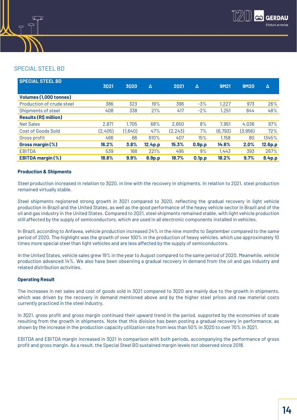

# SPECIAL STEEL BD

| <b>SPECIAL STEEL BD</b>      |         |         |                     |          |                    |          |             |                    |
|------------------------------|---------|---------|---------------------|----------|--------------------|----------|-------------|--------------------|
|                              | 3021    | 3020    | Δ                   | 2021     | Δ                  | 9M21     | <b>9M20</b> | Δ                  |
| Volumes (1,000 tonnes)       |         |         |                     |          |                    |          |             |                    |
| Production of crude steel    | 386     | 323     | 19%                 | 396      | $-3%$              | 1,227    | 973         | 26%                |
| Shipments of steel           | 408     | 338     | 21%                 | 417      | $-2%$              | 1,251    | 844         | 48%                |
| <b>Results (R\$ million)</b> |         |         |                     |          |                    |          |             |                    |
| <b>Net Sales</b>             | 2,871   | 1,705   | 68%                 | 2,650    | 8%                 | 7,951    | 4,036       | 97%                |
| Cost of Goods Sold           | (2,405) | (1,640) | 47%                 | (2, 243) | 7%                 | (6, 793) | (3,956)     | 72%                |
| Gross profit                 | 466     | 66      | 610%                | 407      | 15%                | 1,158    | 80          | 1345%              |
| Gross margin $(\%)$          | 16.2%   | 3.8%    | 12.4 <sub>p.p</sub> | 15.3%    | 0.9 <sub>p.p</sub> | 14.6%    | 2.0%        | 12.6p.p            |
| <b>EBITDA</b>                | 539     | 168     | 221%                | 495      | 9%                 | 1,443    | 393         | 267%               |
| <b>EBITDA margin (%)</b>     | 18.8%   | 9.9%    | 8.9p.p              | 18.7%    | 0.1 <sub>p.p</sub> | 18.2%    | 9.7%        | 8.4 <sub>p.p</sub> |

### **Production & Shipments**

Steel production increased in relation to 3Q20, in line with the recovery in shipments. In relation to 2Q21, steel production remained virtually stable.

Steel shipments registered strong growth in 3021 compared to 3020, reflecting the gradual recovery in light vehicle production in Brazil and the United States, as well as the good performance of the heavy vehicle sector in Brazil and of the oil and gas industry in the United States. Compared to 2Q21, steel shipments remained stable, with light vehicle production still affected by the supply of semiconductors, which are used in all electronic components installed in vehicles.

In Brazil, according to Anfavea, vehicle production increased 24% in the nine months to September compared to the same period of 2020. The highlight was the growth of over 100% in the production of heavy vehicles, which use approximately 10 times more special steel than light vehicles and are less affected by the supply of semiconductors.

In the United States, vehicle sales grew 19% in the year to August compared to the same period of 2020. Meanwhile, vehicle production advanced 14%. We also have been observing a gradual recovery in demand from the oil and gas industry and related distribution activities.

#### **Operating Result**

The increases in net sales and cost of goods sold in 3Q21 compared to 3Q20 are mainly due to the growth in shipments, which was driven by the recovery in demand mentioned above and by the higher steel prices and raw material costs currently practiced in the steel industry.

In 3Q21, gross profit and gross margin continued their upward trend in the period, supported by the economies of scale resulting from the growth in shipments. Note that this division has been posting a gradual recovery in performance, as shown by the increase in the production capacity utilization rate from less than 50% in 3Q20 to over 70% in 3Q21.

EBITDA and EBITDA margin increased in 3Q21 in comparison with both periods, accompanying the performance of gross profit and gross margin. As a result, the Special Steel BD sustained margin levels not observed since 2018.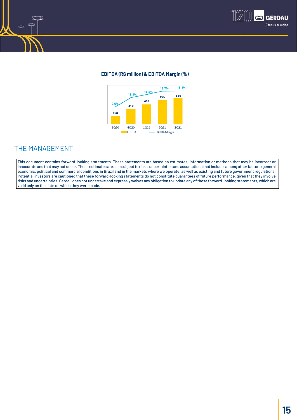

## EBITDA (R\$ million) & EBITDA Margin (%)



# THE MANAGEMENT

This document contains forward-looking statements. These statements are based on estimates, information or methods that may be incorrect or inaccurate and that may not occur. These estimates are also subject to risks, uncertainties and assumptions that include, among other factors: general economic, political and commercial conditions in Brazil and in the markets where we operate, as well as existing and future government regulations. Potential investors are cautioned that these forward-looking statements do not constitute guarantees of future performance, given that they involve risks and uncertainties. Gerdau does not undertake and expressly waives any obligation to update any of these forward-looking statements, which are valid only on the date on which they were made.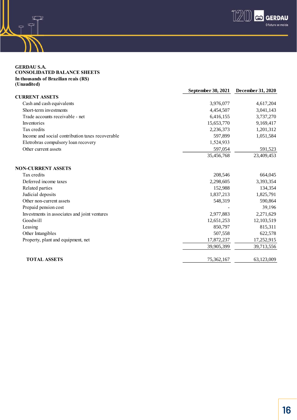

#### **GERDAU S.A. CONSOLIDATED BALANCE SHEETS In thousands of Brazilian reais (R\$) (Unaudited)**

 $\mathbb{Z}$  $\mathcal{P}$ 

 $\overline{T}$ 

|                                                  | September 30, 2021 | December 31, 2020 |
|--------------------------------------------------|--------------------|-------------------|
| <b>CURRENT ASSETS</b>                            |                    |                   |
| Cash and cash equivalents                        | 3,976,077          | 4,617,204         |
| Short-term investments                           | 4,454,507          | 3,041,143         |
| Trade accounts receivable - net                  | 6,416,155          | 3,737,270         |
| Inventories                                      | 15,653,770         | 9,169,417         |
| Tax credits                                      | 2,236,373          | 1,201,312         |
| Income and social contribution taxes recoverable | 597,899            | 1,051,584         |
| Eletrobras compulsory loan recovery              | 1,524,933          |                   |
| Other current assets                             | 597,054            | 591,523           |
|                                                  | 35,456,768         | 23,409,453        |
| <b>NON-CURRENT ASSETS</b>                        |                    |                   |
| Tax credits                                      | 208,546            | 664,045           |
| Deferred income taxes                            | 2,298,605          | 3,393,354         |
| Related parties                                  | 152,988            | 134,354           |
| Judicial deposits                                | 1,837,213          | 1,825,791         |
| Other non-current assets                         | 548,319            | 590,864           |
| Prepaid pension cost                             |                    | 39,196            |
| Investments in associates and joint ventures     | 2,977,883          | 2,271,629         |
| Goodwill                                         | 12,651,253         | 12,103,519        |
| Leasing                                          | 850,797            | 815,311           |
| Other Intangibles                                | 507,558            | 622,578           |
| Property, plant and equipment, net               | 17,872,237         | 17,252,915        |
|                                                  | 39,905,399         | 39,713,556        |
| <b>TOTAL ASSETS</b>                              | 75,362,167         | 63,123,009        |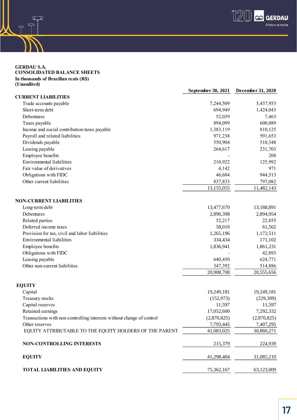

#### **GERDAU S.A. CONSOLIDATED BALANCE SHEETS In thousands of Brazilian reais (R\$) (Unaudited)**

 $\mathbb Z$  $\mathcal{P}$ 

 $\mathcal{P}$ 

|                                                                       | September 30, 2021 | December 31, 2020 |
|-----------------------------------------------------------------------|--------------------|-------------------|
| <b>CURRENT LIABILITIES</b>                                            |                    |                   |
| Trade accounts payable                                                | 7,244,509          | 5,437,953         |
| Short-term debt                                                       | 694,949            | 1,424,043         |
| Debentures                                                            | 52,039             | 7,463             |
| Taxes payable                                                         | 894,099            | 600,089           |
| Income and social contribution taxes payable                          | 1,383,119          | 810,125           |
| Payroll and related liabilities                                       | 971,238            | 591,653           |
| Dividends payable                                                     | 550,904            | 510,348           |
| Leasing payable                                                       | 264,617            | 231,703           |
| Employee benefits                                                     |                    | 208               |
| <b>Environmental liabilities</b>                                      | 210,922            | 125,992           |
| Fair value of derivatives                                             | 4,142              | 971               |
| Obligations with FIDC                                                 | 46,684             | 944,513           |
| Other current liabilities                                             | 837,833            | 797,082           |
|                                                                       | 13,155,055         | 11,482,143        |
| <b>NON-CURRENT LIABILITIES</b>                                        |                    |                   |
| Long-term debt                                                        | 13,477,670         | 13,188,891        |
| Debentures                                                            | 2,896,398          | 2,894,954         |
| Related parties                                                       | 52,217             | 22,855            |
| Deferred income taxes                                                 | 58,010             | 61,562            |
| Provision for tax, civil and labor liabilities                        | 1,265,196          | 1,172,511         |
| Environmental liabilities                                             | 334,434            | 171,102           |
| Employee benefits                                                     | 1,836,941          | 1,861,231         |
| Obligations with FIDC                                                 |                    | 42,893            |
| Leasing payable                                                       | 640,450            | 624,771           |
| Other non-current liabilities                                         | 347,392            | 514,886           |
|                                                                       | 20,908,708         | 20,555,656        |
| <b>EQUITY</b>                                                         |                    |                   |
| Capital                                                               | 19,249,181         | 19,249,181        |
| Treasury stocks                                                       | (152, 973)         | (229, 309)        |
| Capital reserves                                                      | 11,597             | 11,597            |
| Retained earnings                                                     | 17,052,600         | 7,292,332         |
| Transactions with non-controlling interests without change of control | (2,870,825)        | (2,870,825)       |
| Other reserves                                                        | 7,793,445          | 7,407,295         |
| EQUITY ATTRIBUTABLE TO THE EQUITY HOLDERS OF THE PARENT               | 41,083,025         | 30,860,271        |
| <b>NON-CONTROLLING INTERESTS</b>                                      | 215,379            | 224,939           |
| <b>EQUITY</b>                                                         | 41,298,404         | 31,085,210        |
| <b>TOTAL LIABILITIES AND EQUITY</b>                                   | 75,362,167         | 63,123,009        |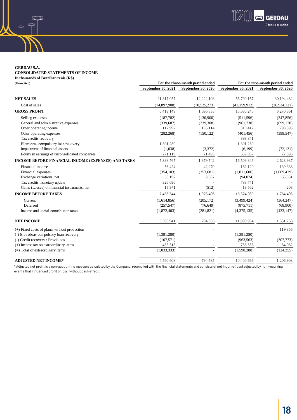

**GERDAU S.A. CONSOLIDATED STATEMENTS OF INCOME In thousands of Brazilian reais (R\$)**

| (Unaudited)                                         | For the three-month period ended | For the nine-month period ended |                    |                    |
|-----------------------------------------------------|----------------------------------|---------------------------------|--------------------|--------------------|
|                                                     | September 30, 2021               | <b>September 30, 2020</b>       | September 30, 2021 | September 30, 2020 |
| <b>NET SALES</b>                                    | 21,317,057                       | 12,222,108                      | 56,790,157         | 30,194,482         |
| Cost of sales                                       | (14,897,908)                     | (10,525,273)                    | (41, 159, 912)     | (26, 924, 121)     |
| <b>GROSS PROFIT</b>                                 | 6,419,149                        | 1,696,835                       | 15,630,245         | 3,270,361          |
| Selling expenses                                    | (187, 782)                       | (130,900)                       | (511, 596)         | (347, 856)         |
| General and administrative expenses                 | (339, 687)                       | (239, 308)                      | (961, 738)         | (699, 178)         |
| Other operating income                              | 117,992                          | 135,114                         | 318,412            | 798,393            |
| Other operating expenses                            | (282, 268)                       | (150, 122)                      | (401, 456)         | (398, 547)         |
| Tax credits recovery                                |                                  |                                 | 393,341            |                    |
| Eletrobras compulsory loan recovery                 | 1,391,280                        |                                 | 1,391,280          |                    |
| Impairment of financial assets                      | (1,038)                          | (3,372)                         | (6,199)            | (72, 131)          |
| Equity in earnings of unconsolidated companies      | 271,119                          | 71,495                          | 657,057            | 77,895             |
| INCOME BEFORE FINANCIAL INCOME (EXPENSES) AND TAXES | 7,388,765                        | 1,379,742                       | 16,509,346         | 2,628,937          |
| Financial income                                    | 56,424                           | 42,270                          | 162,120            | 139,338            |
| Financial expenses                                  | (354, 103)                       | (353, 681)                      | (1,011,606)        | (1,069,429)        |
| Exchange variations, net                            | 33,197                           | 8,587                           | (94,074)           | 65,351             |
| Tax credits monetary update                         | 326,090                          |                                 | 788,741            |                    |
| Gains (Losses) on financial instruments, net        | 15,971                           | (512)                           | 19,562             | 208                |
| <b>INCOME BEFORE TAXES</b>                          | 7,466,344                        | 1,076,406                       | 16,374,089         | 1,764,405          |
| Current                                             | (1,614,856)                      | (205, 172)                      | (3,499,424)        | (364, 247)         |
| Deferred                                            | (257, 547)                       | (76, 649)                       | (875, 711)         | (68,900)           |
| Income and social contribution taxes                | (1,872,403)                      | (281, 821)                      | (4,375,135)        | (433, 147)         |
| <b>NET INCOME</b>                                   | 5,593,941                        | 794,585                         | 11,998,954         | 1,331,258          |
| $(+)$ Fixed costs of plants without production      |                                  |                                 |                    | 119,356            |
| (-) Eletrobras compulsory loan recovery             | (1,391,280)                      |                                 | (1,391,280)        |                    |
| (-) Credit recovery / Provisions                    | (107, 571)                       |                                 | (963, 563)         | (307, 773)         |
| $(+)$ Income tax on extraordinary items             | 465,518                          |                                 | 756,555            | 64,062             |
| $(=)$ Total of extraordinary items                  | (1,033,333)                      |                                 | (1,598,288)        | (124, 355)         |
| <b>ADJUSTED NET INCOME*</b>                         | 4,560,608                        | 794,585                         | 10,400,666         | 1,206,903          |

\* Adjusted net profit is a non-accounting measure calculated by the Company, reconciled with the financial statements and consists of net income (loss) adjusted by non-recurring events that influenced profit or loss, without cash effect.